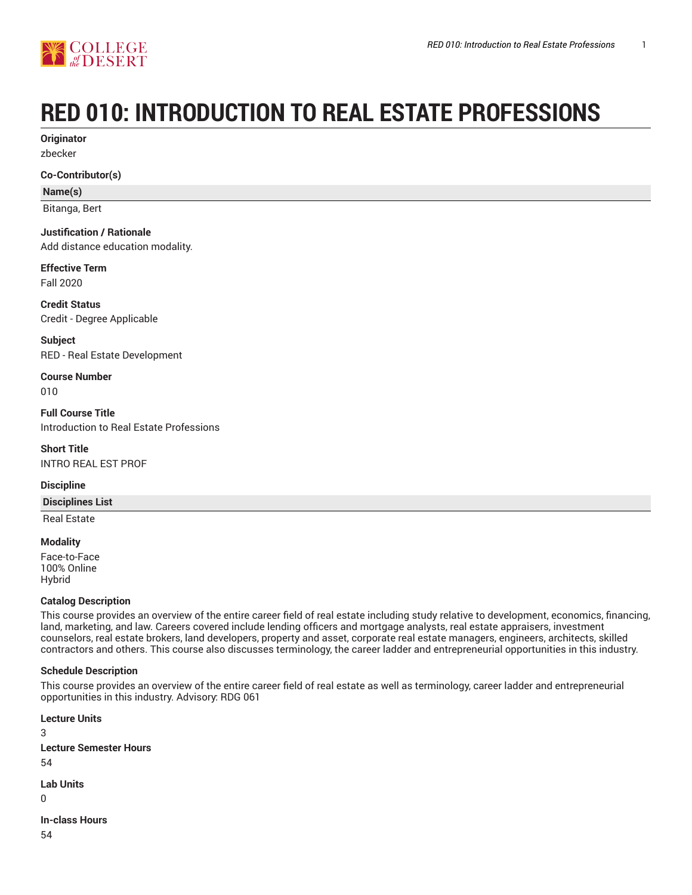

# **RED 010: INTRODUCTION TO REAL ESTATE PROFESSIONS**

**Originator** zbecker

**Co-Contributor(s)**

**Name(s)**

Bitanga, Bert

# **Justification / Rationale**

Add distance education modality.

**Effective Term** Fall 2020

**Credit Status** Credit - Degree Applicable

**Subject** RED - Real Estate Development

**Course Number** 010

**Full Course Title** Introduction to Real Estate Professions

**Short Title** INTRO REAL EST PROF

#### **Discipline**

**Disciplines List**

Real Estate

**Modality** Face-to-Face 100% Online Hybrid

## **Catalog Description**

This course provides an overview of the entire career field of real estate including study relative to development, economics, financing, land, marketing, and law. Careers covered include lending officers and mortgage analysts, real estate appraisers, investment counselors, real estate brokers, land developers, property and asset, corporate real estate managers, engineers, architects, skilled contractors and others. This course also discusses terminology, the career ladder and entrepreneurial opportunities in this industry.

## **Schedule Description**

This course provides an overview of the entire career field of real estate as well as terminology, career ladder and entrepreneurial opportunities in this industry. Advisory: RDG 061

**Lecture Units** 3 **Lecture Semester Hours** 54 **Lab Units**  $\Omega$ **In-class Hours**

54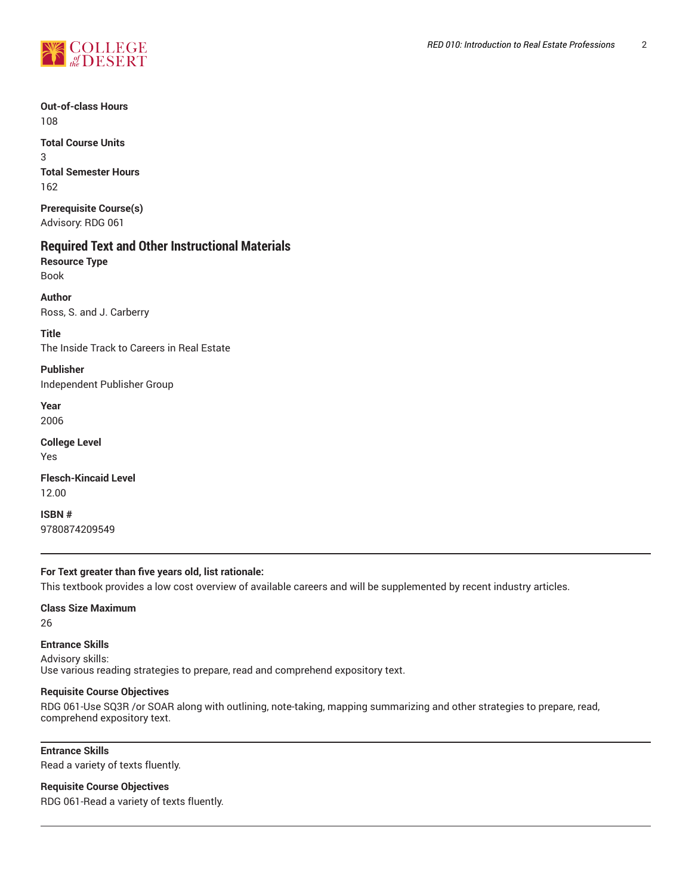

**Out-of-class Hours** 108

**Total Course Units** 3 **Total Semester Hours** 162

**Prerequisite Course(s)** Advisory: RDG 061

# **Required Text and Other Instructional Materials**

**Resource Type** Book

**Author** Ross, S. and J. Carberry

**Title** The Inside Track to Careers in Real Estate

**Publisher** Independent Publisher Group

**Year** 2006

**College Level** Yes

**Flesch-Kincaid Level** 12.00

**ISBN #** 9780874209549

## **For Text greater than five years old, list rationale:**

This textbook provides a low cost overview of available careers and will be supplemented by recent industry articles.

**Class Size Maximum**

26

**Entrance Skills** Advisory skills: Use various reading strategies to prepare, read and comprehend expository text.

#### **Requisite Course Objectives**

RDG 061-Use SQ3R /or SOAR along with outlining, note-taking, mapping summarizing and other strategies to prepare, read, comprehend expository text.

**Entrance Skills** Read a variety of texts fluently.

**Requisite Course Objectives**

RDG 061-Read a variety of texts fluently.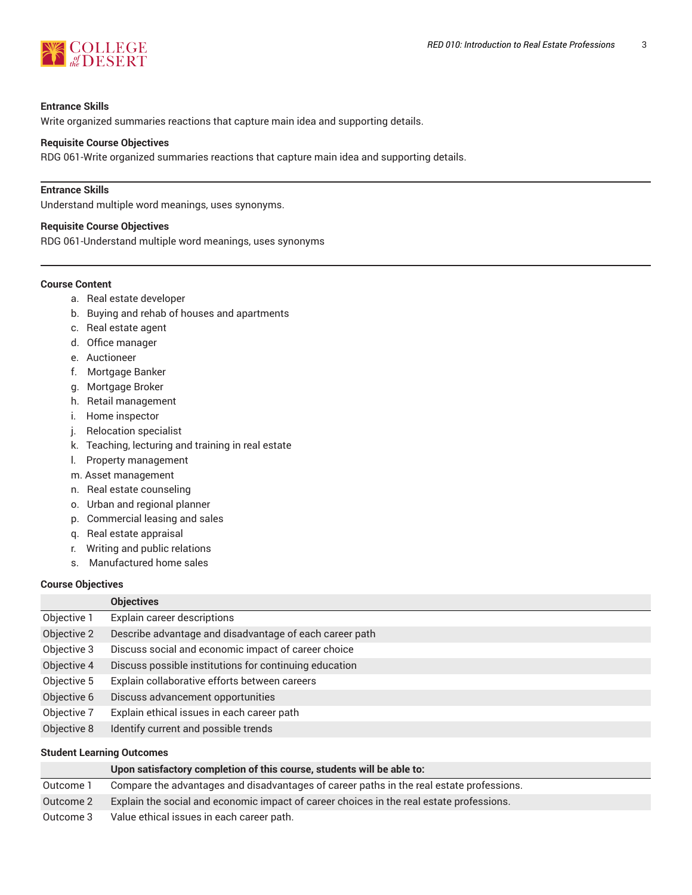

#### **Entrance Skills**

Write organized summaries reactions that capture main idea and supporting details.

#### **Requisite Course Objectives**

RDG 061-Write organized summaries reactions that capture main idea and supporting details.

#### **Entrance Skills**

Understand multiple word meanings, uses synonyms.

#### **Requisite Course Objectives**

RDG 061-Understand multiple word meanings, uses synonyms

#### **Course Content**

- a. Real estate developer
- b. Buying and rehab of houses and apartments
- c. Real estate agent
- d. Office manager
- e. Auctioneer
- f. Mortgage Banker
- g. Mortgage Broker
- h. Retail management
- i. Home inspector
- j. Relocation specialist
- k. Teaching, lecturing and training in real estate
- l. Property management
- m. Asset management
- n. Real estate counseling
- o. Urban and regional planner
- p. Commercial leasing and sales
- q. Real estate appraisal
- r. Writing and public relations
- s. Manufactured home sales

## **Course Objectives**

|             | <b>Objectives</b>                                       |
|-------------|---------------------------------------------------------|
| Objective 1 | Explain career descriptions                             |
| Objective 2 | Describe advantage and disadvantage of each career path |
| Objective 3 | Discuss social and economic impact of career choice     |
| Objective 4 | Discuss possible institutions for continuing education  |
| Objective 5 | Explain collaborative efforts between careers           |
| Objective 6 | Discuss advancement opportunities                       |
| Objective 7 | Explain ethical issues in each career path              |
| Objective 8 | Identify current and possible trends                    |
|             |                                                         |

# **Student Learning Outcomes**

|           | Upon satisfactory completion of this course, students will be able to:                   |
|-----------|------------------------------------------------------------------------------------------|
| Outcome 1 | Compare the advantages and disadvantages of career paths in the real estate professions. |
| Outcome 2 | Explain the social and economic impact of career choices in the real estate professions. |
| Outcome 3 | Value ethical issues in each career path.                                                |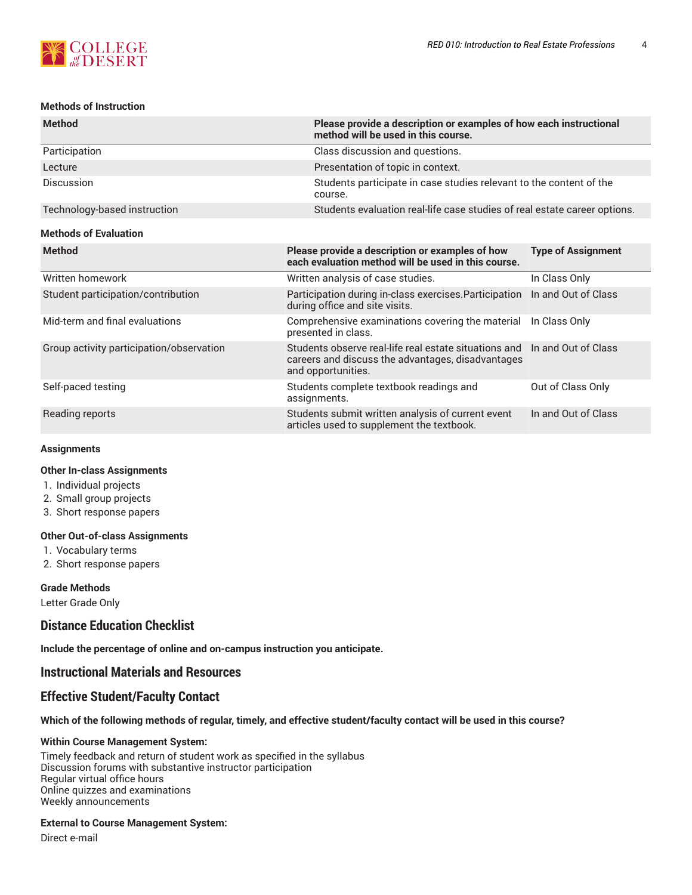

Out of Class Only

In and Out of Class

#### **Methods of Instruction**

| <b>Method</b>                            | method will be used in this course.                                                                                            | Please provide a description or examples of how each instructional |  |  |  |
|------------------------------------------|--------------------------------------------------------------------------------------------------------------------------------|--------------------------------------------------------------------|--|--|--|
| Participation                            | Class discussion and questions.                                                                                                |                                                                    |  |  |  |
| Lecture                                  | Presentation of topic in context.                                                                                              |                                                                    |  |  |  |
| <b>Discussion</b>                        | Students participate in case studies relevant to the content of the<br>course.                                                 |                                                                    |  |  |  |
| Technology-based instruction             | Students evaluation real-life case studies of real estate career options.                                                      |                                                                    |  |  |  |
| <b>Methods of Evaluation</b>             |                                                                                                                                |                                                                    |  |  |  |
| <b>Method</b>                            | Please provide a description or examples of how<br>each evaluation method will be used in this course.                         | <b>Type of Assignment</b>                                          |  |  |  |
| Written homework                         | Written analysis of case studies.                                                                                              | In Class Only                                                      |  |  |  |
| Student participation/contribution       | Participation during in-class exercises. Participation<br>during office and site visits.                                       | In and Out of Class                                                |  |  |  |
| Mid-term and final evaluations           | Comprehensive examinations covering the material<br>presented in class.                                                        | In Class Only                                                      |  |  |  |
| Group activity participation/observation | Students observe real-life real estate situations and In and Out of Class<br>careers and discuss the advantages, disadvantages |                                                                    |  |  |  |

and opportunities.

articles used to supplement the textbook.

assignments.

#### Self-paced testing Students complete textbook readings and

Reading reports **Students submit written analysis of current event** Students submit written analysis of current event

#### **Assignments**

#### **Other In-class Assignments**

- 1. Individual projects
- 2. Small group projects
- 3. Short response papers

#### **Other Out-of-class Assignments**

- 1. Vocabulary terms
- 2. Short response papers

#### **Grade Methods**

Letter Grade Only

# **Distance Education Checklist**

**Include the percentage of online and on-campus instruction you anticipate.**

## **Instructional Materials and Resources**

# **Effective Student/Faculty Contact**

## Which of the following methods of regular, timely, and effective student/faculty contact will be used in this course?

#### **Within Course Management System:**

Timely feedback and return of student work as specified in the syllabus Discussion forums with substantive instructor participation Regular virtual office hours Online quizzes and examinations Weekly announcements

#### **External to Course Management System:**

Direct e-mail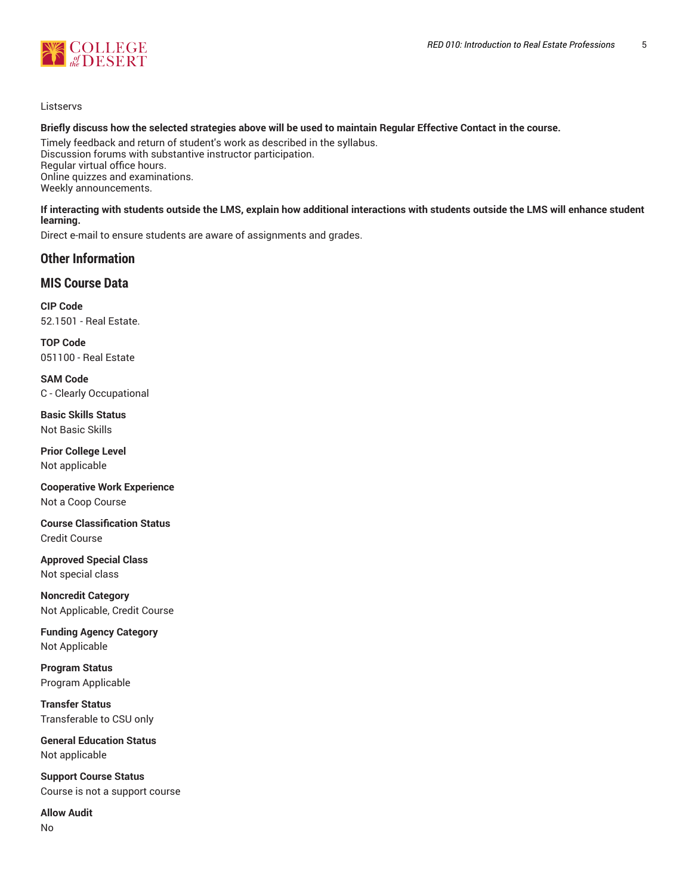

#### Listservs

#### Briefly discuss how the selected strategies above will be used to maintain Regular Effective Contact in the course.

Timely feedback and return of student's work as described in the syllabus. Discussion forums with substantive instructor participation. Regular virtual office hours. Online quizzes and examinations. Weekly announcements.

#### **If interacting with students outside the LMS, explain how additional interactions with students outside the LMS will enhance student learning.**

Direct e-mail to ensure students are aware of assignments and grades.

## **Other Information**

## **MIS Course Data**

**CIP Code** 52.1501 - Real Estate.

**TOP Code** 051100 - Real Estate

**SAM Code** C - Clearly Occupational

**Basic Skills Status** Not Basic Skills

**Prior College Level** Not applicable

**Cooperative Work Experience** Not a Coop Course

**Course Classification Status** Credit Course

**Approved Special Class** Not special class

**Noncredit Category** Not Applicable, Credit Course

**Funding Agency Category** Not Applicable

**Program Status** Program Applicable

**Transfer Status** Transferable to CSU only

**General Education Status** Not applicable

**Support Course Status** Course is not a support course

**Allow Audit**

No